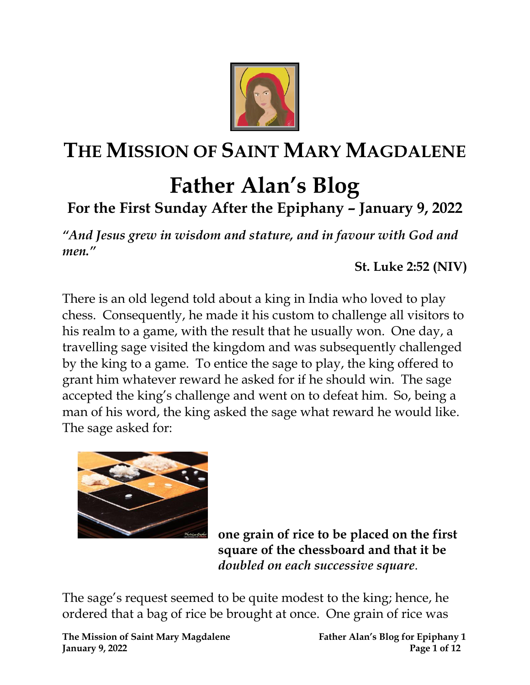

## **THE MISSION OF SAINT MARY MAGDALENE**

## **Father Alan's Blog**

## **For the First Sunday After the Epiphany – January 9, 2022**

*"And Jesus grew in wisdom and stature, and in favour with God and men."* 

**St. Luke 2:52 (NIV)**

There is an old legend told about a king in India who loved to play chess. Consequently, he made it his custom to challenge all visitors to his realm to a game, with the result that he usually won. One day, a travelling sage visited the kingdom and was subsequently challenged by the king to a game. To entice the sage to play, the king offered to grant him whatever reward he asked for if he should win. The sage accepted the king's challenge and went on to defeat him. So, being a man of his word, the king asked the sage what reward he would like. The sage asked for:



**one grain of rice to be placed on the first square of the chessboard and that it be** *doubled on each successive square*.

The sage's request seemed to be quite modest to the king; hence, he ordered that a bag of rice be brought at once. One grain of rice was

**The Mission of Saint Mary Magdalene Father Alan's Blog for Epiphany 1 January 9, 2022 Page 1 of 12**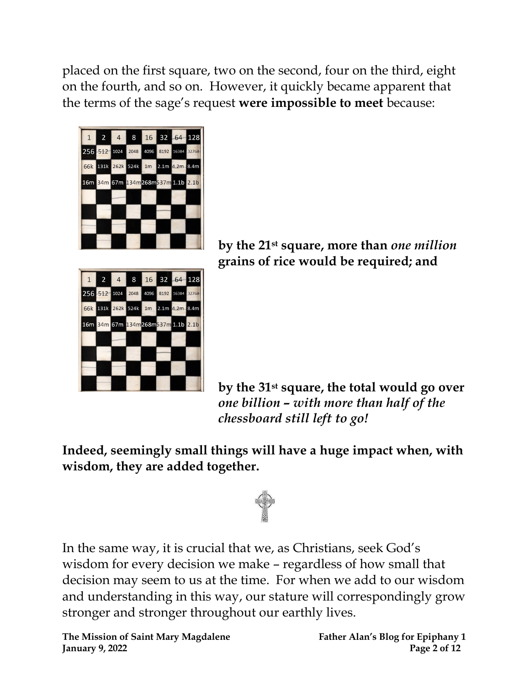placed on the first square, two on the second, four on the third, eight on the fourth, and so on. However, it quickly became apparent that the terms of the sage's request **were impossible to meet** because:





**by the 21st square, more than** *one million* **grains of rice would be required; and**

**by the 31st square, the total would go over** *one billion – with more than half of the chessboard still left to go!*

**Indeed, seemingly small things will have a huge impact when, with wisdom, they are added together.** 



In the same way, it is crucial that we, as Christians, seek God's wisdom for every decision we make – regardless of how small that decision may seem to us at the time. For when we add to our wisdom and understanding in this way, our stature will correspondingly grow stronger and stronger throughout our earthly lives.

**The Mission of Saint Mary Magdalene Father Alan's Blog for Epiphany 1 January 9, 2022 Page 2 of 12**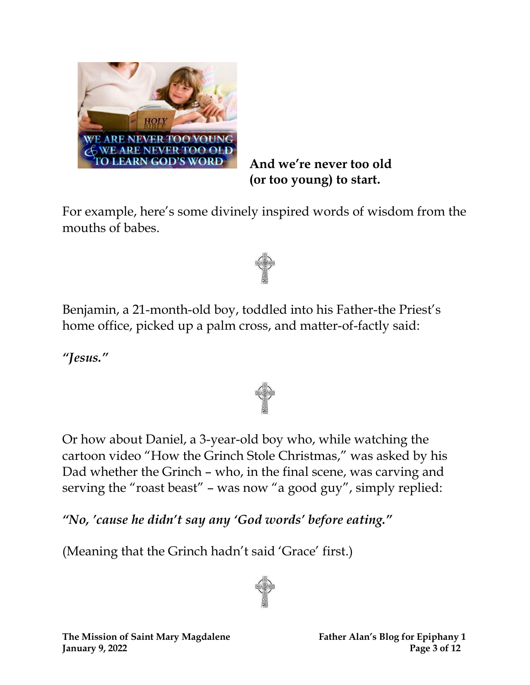

**And we're never too old (or too young) to start.**

For example, here's some divinely inspired words of wisdom from the mouths of babes.



Benjamin, a 21-month-old boy, toddled into his Father-the Priest's home office, picked up a palm cross, and matter-of-factly said:

*"Jesus."*

Or how about Daniel, a 3-year-old boy who, while watching the cartoon video "How the Grinch Stole Christmas," was asked by his Dad whether the Grinch – who, in the final scene, was carving and serving the "roast beast" – was now "a good guy", simply replied:

*"No, 'cause he didn't say any 'God words' before eating."* 

(Meaning that the Grinch hadn't said 'Grace' first.)

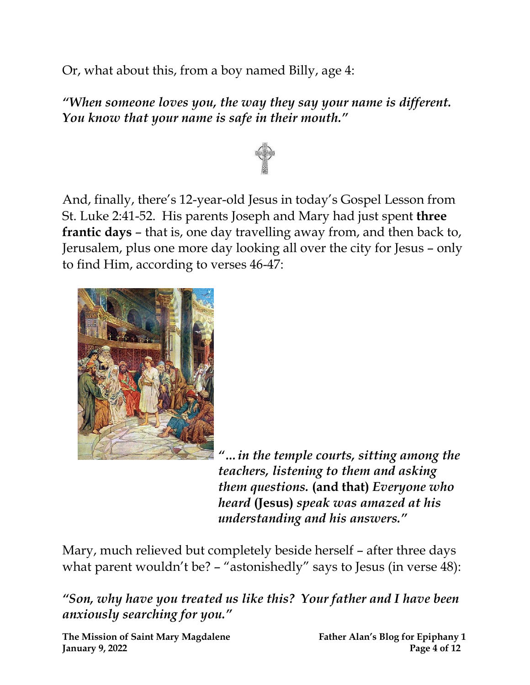Or, what about this, from a boy named Billy, age 4:

*"When someone loves you, the way they say your name is different. You know that your name is safe in their mouth."*



And, finally, there's 12-year-old Jesus in today's Gospel Lesson from St. Luke 2:41-52. His parents Joseph and Mary had just spent **three frantic days** – that is, one day travelling away from, and then back to, Jerusalem, plus one more day looking all over the city for Jesus – only to find Him, according to verses 46-47:



*"…in the temple courts, sitting among the teachers, listening to them and asking them questions.* **(and that)** *Everyone who heard* **(Jesus)** *speak was amazed at his understanding and his answers."*

Mary, much relieved but completely beside herself – after three days what parent wouldn't be? – "astonishedly" says to Jesus (in verse 48):

*"Son, why have you treated us like this? Your father and I have been anxiously searching for you."*

**The Mission of Saint Mary Magdalene Father Alan's Blog for Epiphany 1 January 9, 2022 Page 4 of 12**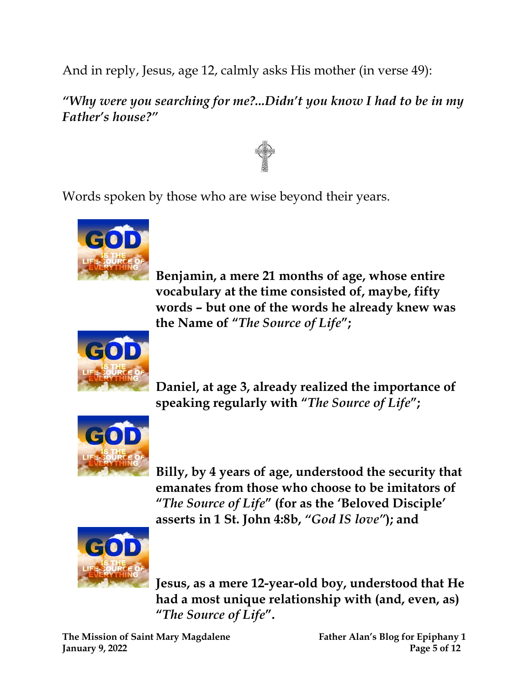And in reply, Jesus, age 12, calmly asks His mother (in verse 49):

*"Why were you searching for me?...Didn't you know I had to be in my Father's house?"*



Words spoken by those who are wise beyond their years.



**Benjamin, a mere 21 months of age, whose entire vocabulary at the time consisted of, maybe, fifty words – but one of the words he already knew was the Name of "***The Source of Life***";**



**Daniel, at age 3, already realized the importance of speaking regularly with "***The Source of Life***";**



**Billy, by 4 years of age, understood the security that emanates from those who choose to be imitators of "***The Source of Life***" (for as the 'Beloved Disciple' asserts in 1 St. John 4:8b,** *"God IS love"***); and**



**Jesus, as a mere 12-year-old boy, understood that He had a most unique relationship with (and, even, as) "***The Source of Life***".**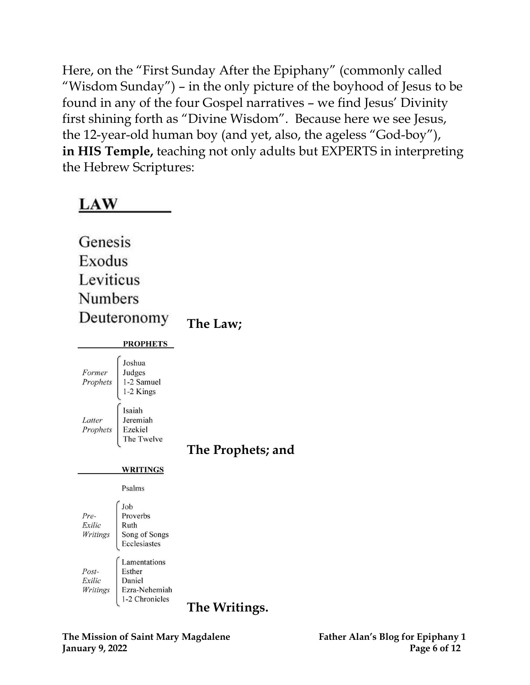Here, on the "First Sunday After the Epiphany" (commonly called "Wisdom Sunday") – in the only picture of the boyhood of Jesus to be found in any of the four Gospel narratives – we find Jesus' Divinity first shining forth as "Divine Wisdom". Because here we see Jesus, the 12-year-old human boy (and yet, also, the ageless "God-boy"), **in HIS Temple,** teaching not only adults but EXPERTS in interpreting the Hebrew Scriptures:



Genesis Exodus Leviticus Numbers Deuteronomy **The Law; PROPHETS** Joshua Former Judges Prophets 1-2 Samuel 1-2 Kings Isaiah Latter Jeremiah Prophets Ezekiel The Twelve **The Prophets; and WRITINGS** Psalms Job Pre-Proverbs Exilic Ruth Writings Song of Songs Ecclesiastes Lamentations Post-Esther Daniel Exilic Writings Ezra-Nehemiah 1-2 Chronicles **The Writings.**

**The Mission of Saint Mary Magdalene Father Alan's Blog for Epiphany 1 January 9, 2022 Page 6 of 12**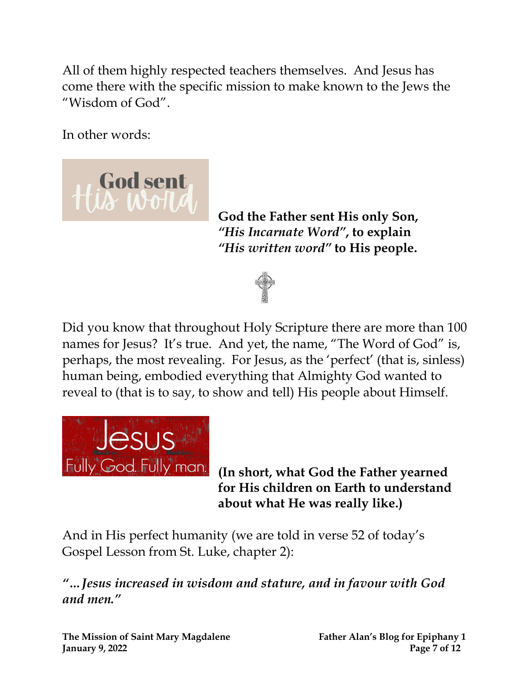All of them highly respected teachers themselves. And Jesus has come there with the specific mission to make known to the Jews the "Wisdom of God".

In other words:



**God the Father sent His only Son,** *"His Incarnate Word"* **, to explain** *"His written word"* **to His people.**



Did you know that throughout Holy Scripture there are more than 100 names for Jesus? It's true. And yet, the name, "The Word of God" is, perhaps, the most revealing. For Jesus, as the 'perfect' (that is, sinless) human being, embodied everything that Almighty God wanted to reveal to (that is to say, to show and tell) His people about Himself.



Fully God. Fully man. (In short, what God the Father yearned **for His children on Earth to understand about what He was really like.)**

And in His perfect humanity (we are told in verse 52 of today's Gospel Lesson from St. Luke, chapter 2):

*"…Jesus increased in wisdom and stature, and in favour with God and men."*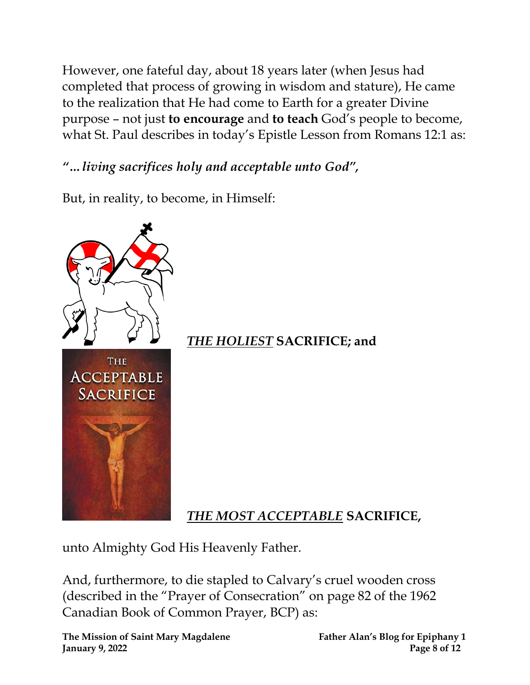However, one fateful day, about 18 years later (when Jesus had completed that process of growing in wisdom and stature), He came to the realization that He had come to Earth for a greater Divine purpose – not just **to encourage** and **to teach** God's people to become, what St. Paul describes in today's Epistle Lesson from Romans 12:1 as:

*"…living sacrifices holy and acceptable unto God" ,*

But, in reality, to become, in Himself:



unto Almighty God His Heavenly Father.

And, furthermore, to die stapled to Calvary's cruel wooden cross (described in the "Prayer of Consecration" on page 82 of the 1962 Canadian Book of Common Prayer, BCP) as:

**The Mission of Saint Mary Magdalene Father Alan's Blog for Epiphany 1 January 9, 2022 Page 8 of 12**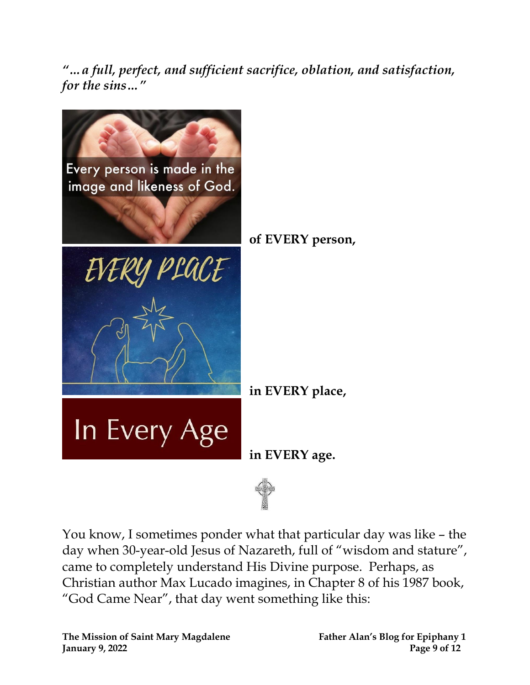*"…a full, perfect, and sufficient sacrifice, oblation, and satisfaction, for the sins…"*



You know, I sometimes ponder what that particular day was like – the day when 30-year-old Jesus of Nazareth, full of "wisdom and stature", came to completely understand His Divine purpose. Perhaps, as Christian author Max Lucado imagines, in Chapter 8 of his 1987 book, "God Came Near", that day went something like this:

**The Mission of Saint Mary Magdalene Father Alan's Blog for Epiphany 1 January 9, 2022 Page 9 of 12**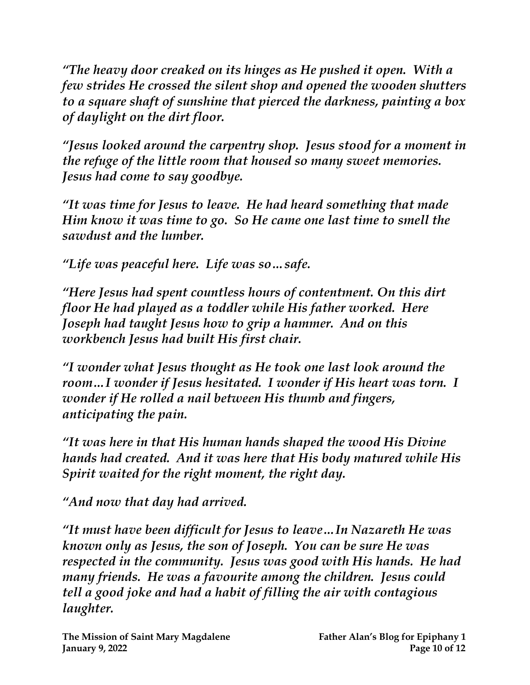*"The heavy door creaked on its hinges as He pushed it open. With a few strides He crossed the silent shop and opened the wooden shutters to a square shaft of sunshine that pierced the darkness, painting a box of daylight on the dirt floor.*

*"Jesus looked around the carpentry shop. Jesus stood for a moment in the refuge of the little room that housed so many sweet memories. Jesus had come to say goodbye.*

*"It was time for Jesus to leave. He had heard something that made Him know it was time to go. So He came one last time to smell the sawdust and the lumber.*

*"Life was peaceful here. Life was so…safe.*

*"Here Jesus had spent countless hours of contentment. On this dirt floor He had played as a toddler while His father worked. Here Joseph had taught Jesus how to grip a hammer. And on this workbench Jesus had built His first chair.*

*"I wonder what Jesus thought as He took one last look around the room…I wonder if Jesus hesitated. I wonder if His heart was torn. I wonder if He rolled a nail between His thumb and fingers, anticipating the pain.*

*"It was here in that His human hands shaped the wood His Divine hands had created. And it was here that His body matured while His Spirit waited for the right moment, the right day.*

*"And now that day had arrived.*

*"It must have been difficult for Jesus to leave…In Nazareth He was known only as Jesus, the son of Joseph. You can be sure He was respected in the community. Jesus was good with His hands. He had many friends. He was a favourite among the children. Jesus could tell a good joke and had a habit of filling the air with contagious laughter.*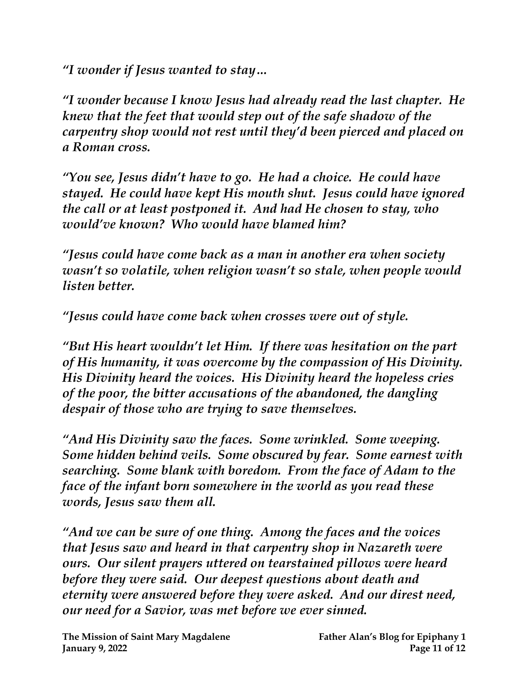*"I wonder if Jesus wanted to stay…*

*"I wonder because I know Jesus had already read the last chapter. He knew that the feet that would step out of the safe shadow of the carpentry shop would not rest until they'd been pierced and placed on a Roman cross.*

*"You see, Jesus didn't have to go. He had a choice. He could have stayed. He could have kept His mouth shut. Jesus could have ignored the call or at least postponed it. And had He chosen to stay, who would've known? Who would have blamed him?*

*"Jesus could have come back as a man in another era when society wasn't so volatile, when religion wasn't so stale, when people would listen better.*

*"Jesus could have come back when crosses were out of style.*

*"But His heart wouldn't let Him. If there was hesitation on the part of His humanity, it was overcome by the compassion of His Divinity. His Divinity heard the voices. His Divinity heard the hopeless cries of the poor, the bitter accusations of the abandoned, the dangling despair of those who are trying to save themselves.*

*"And His Divinity saw the faces. Some wrinkled. Some weeping. Some hidden behind veils. Some obscured by fear. Some earnest with searching. Some blank with boredom. From the face of Adam to the face of the infant born somewhere in the world as you read these words, Jesus saw them all.*

*"And we can be sure of one thing. Among the faces and the voices that Jesus saw and heard in that carpentry shop in Nazareth were ours. Our silent prayers uttered on tearstained pillows were heard before they were said. Our deepest questions about death and eternity were answered before they were asked. And our direst need, our need for a Savior, was met before we ever sinned.*